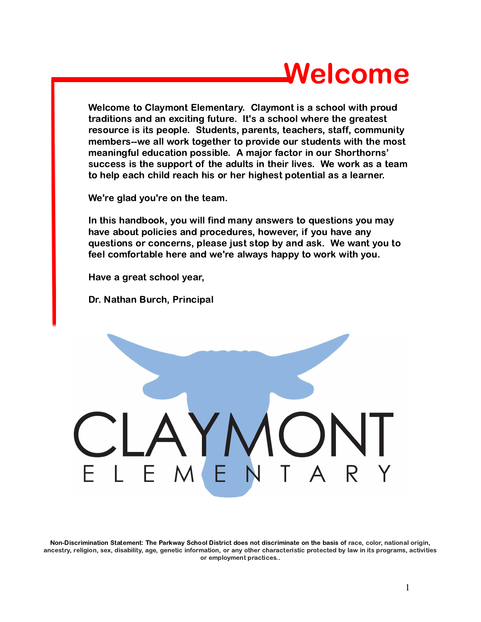# Welcome

Welcome to Claymont Elementary. Claymont is a school with proud traditions and an exciting future. It's a school where the greatest resource is its people. Students, parents, teachers, staff, community members--we all work together to provide our students with the most meaningful education possible. A major factor in our Shorthorns' success is the support of the adults in their lives. We work as a team to help each child reach his or her highest potential as a learner.

We're glad you're on the team.

In this handbook, you will find many answers to questions you may have about policies and procedures, however, if you have any questions or concerns, please just stop by and ask. We want you to feel comfortable here and we're always happy to work with you.

Have a great school year,

Dr. Nathan Burch, Principal



Non-Discrimination Statement: The Parkway School District does not discriminate on the basis of race, color, national origin, ancestry, religion, sex, disability, age, genetic information, or any other characteristic protected by law in its programs, activities or employment practices..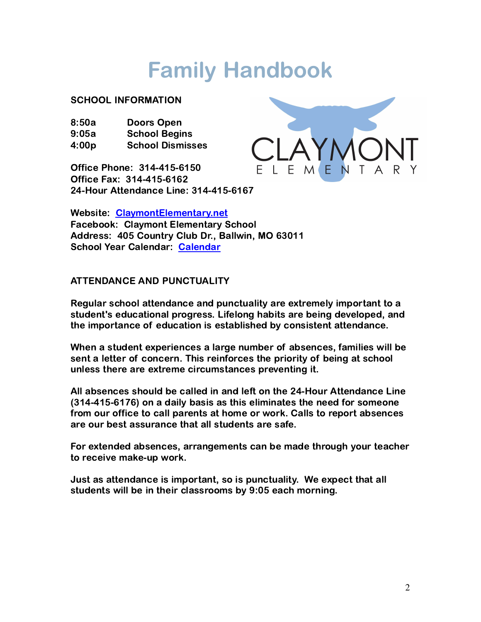# Family Handbook

#### SCHOOL INFORMATION

| 8:50a | Doors Open              |
|-------|-------------------------|
| 9:05a | <b>School Begins</b>    |
| 4:00p | <b>School Dismisses</b> |

Office Phone: 314-415-6150 Office Fax: 314-415-6162 24-Hour Attendance Line: 314-415-6167



Website: [ClaymontElementary.net](http://www.claymontelementary.net) Facebook: Claymont Elementary School Address: 405 Country Club Dr., Ballwin, MO 63011 School Year Calendar: [Calendar](https://www.parkwayschools.net/Page/2)

# ATTENDANCE AND PUNCTUALITY

Regular school attendance and punctuality are extremely important to a student's educational progress. Lifelong habits are being developed, and the importance of education is established by consistent attendance.

When a student experiences a large number of absences, families will be sent a letter of concern. This reinforces the priority of being at school unless there are extreme circumstances preventing it.

All absences should be called in and left on the 24-Hour Attendance Line (314-415-6176) on a daily basis as this eliminates the need for someone from our office to call parents at home or work. Calls to report absences are our best assurance that all students are safe.

For extended absences, arrangements can be made through your teacher to receive make-up work.

Just as attendance is important, so is punctuality. We expect that all students will be in their classrooms by 9:05 each morning.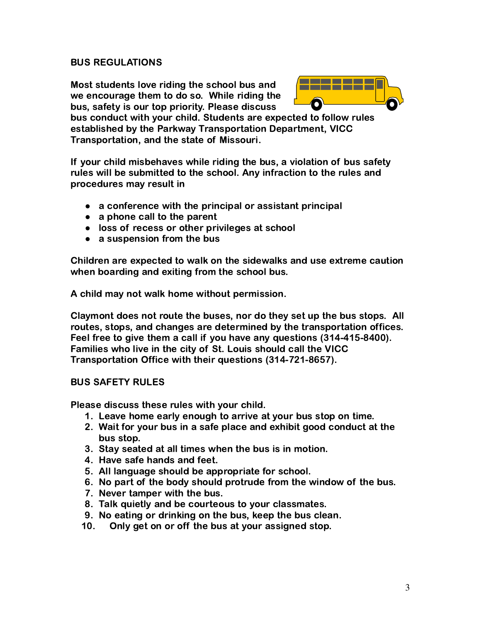#### BUS REGULATIONS

Most students love riding the school bus and we encourage them to do so. While riding the bus, safety is our top priority. Please discuss



bus conduct with your child. Students are expected to follow rules established by the Parkway Transportation Department, VICC Transportation, and the state of Missouri.

If your child misbehaves while riding the bus, a violation of bus safety rules will be submitted to the school. Any infraction to the rules and procedures may result in

- a conference with the principal or assistant principal
- $\bullet$  a phone call to the parent
- loss of recess or other privileges at school
- $\bullet$  a suspension from the bus

Children are expected to walk on the sidewalks and use extreme caution when boarding and exiting from the school bus.

A child may not walk home without permission.

Claymont does not route the buses, nor do they set up the bus stops. All routes, stops, and changes are determined by the transportation offices. Feel free to give them a call if you have any questions (314-415-8400). Families who live in the city of St. Louis should call the VICC Transportation Office with their questions (314-721-8657).

#### BUS SAFETY RULES

Please discuss these rules with your child.

- 1. Leave home early enough to arrive at your bus stop on time.
- 2. Wait for your bus in a safe place and exhibit good conduct at the bus stop.
- 3. Stay seated at all times when the bus is in motion.
- 4. Have safe hands and feet.
- 5. All language should be appropriate for school.
- 6. No part of the body should protrude from the window of the bus.
- 7. Never tamper with the bus.
- 8. Talk quietly and be courteous to your classmates.
- 9. No eating or drinking on the bus, keep the bus clean.
- 10. Only get on or off the bus at your assigned stop.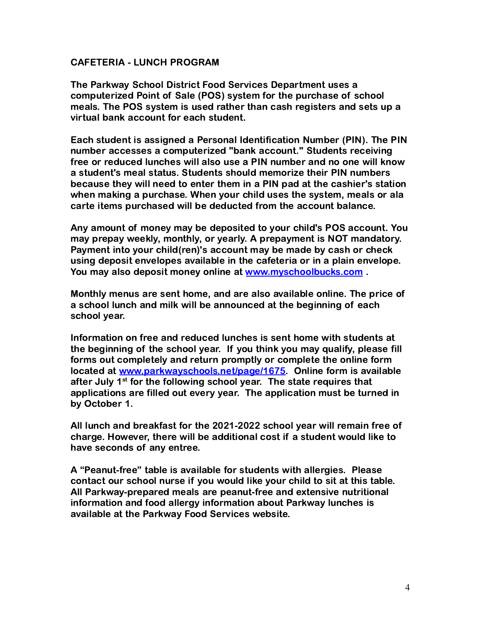#### CAFETERIA - LUNCH PROGRAM

The Parkway School District Food Services Department uses a computerized Point of Sale (POS) system for the purchase of school meals. The POS system is used rather than cash registers and sets up a virtual bank account for each student.

Each student is assigned a Personal Identification Number (PIN). The PIN number accesses a computerized "bank account." Students receiving free or reduced lunches will also use a PIN number and no one will know a student's meal status. Students should memorize their PIN numbers because they will need to enter them in a PIN pad at the cashier's station when making a purchase. When your child uses the system, meals or ala carte items purchased will be deducted from the account balance.

Any amount of money may be deposited to your child's POS account. You may prepay weekly, monthly, or yearly. A prepayment is NOT mandatory. Payment into your child(ren)'s account may be made by cash or check using deposit envelopes available in the cafeteria or in a plain envelope. You may also deposit money online at [www.myschoolbucks.com](http://../Downloads/www.myschoolbucks.com).

Monthly menus are sent home, and are also available online. The price of a school lunch and milk will be announced at the beginning of each school year.

Information on free and reduced lunches is sent home with students at the beginning of the school year. If you think you may qualify, please fill forms out completely and return promptly or complete the online form located at [www.parkwayschools.net/page/1675.](http://www.parkwayschools.net/page/1675) Online form is available after July 1<sup>st</sup> for the following school vear. The state requires that applications are filled out every year. The application must be turned in by October 1.

All lunch and breakfast for the 2021-2022 school year will remain free of charge. However, there will be additional cost if a student would like to have seconds of any entree.

A "Peanut-free" table is available for students with allergies. Please contact our school nurse if you would like your child to sit at this table. All Parkway-prepared meals are peanut-free and extensive nutritional information and food allergy information about Parkway lunches is available at the Parkway Food Services website.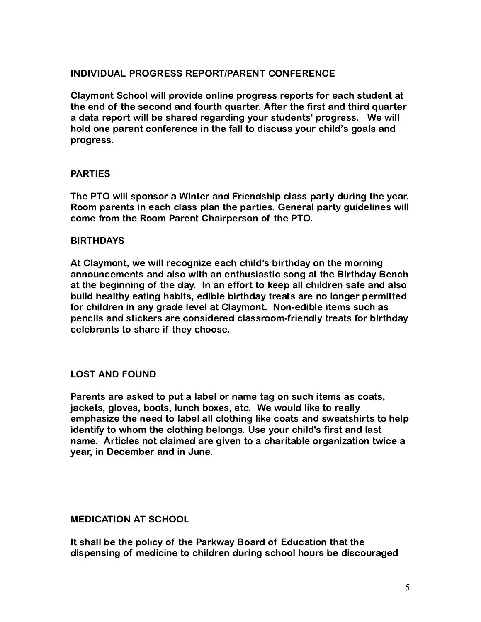# INDIVIDUAL PROGRESS REPORT/PARENT CONFERENCE

Claymont School will provide online progress reports for each student at the end of the second and fourth quarter. After the first and third quarter a data report will be shared regarding your students' progress. We will hold one parent conference in the fall to discuss your child's goals and progress.

#### PARTIES

The PTO will sponsor a Winter and Friendship class party during the year. Room parents in each class plan the parties. General party guidelines will come from the Room Parent Chairperson of the PTO.

#### BIRTHDAYS

At Claymont, we will recognize each child's birthday on the morning announcements and also with an enthusiastic song at the Birthday Bench at the beginning of the day. In an effort to keep all children safe and also build healthy eating habits, edible birthday treats are no longer permitted for children in any grade level at Claymont. Non-edible items such as pencils and stickers are considered classroom-friendly treats for birthday celebrants to share if they choose.

#### LOST AND FOUND

Parents are asked to put a label or name tag on such items as coats, jackets, gloves, boots, lunch boxes, etc. We would like to really emphasize the need to label all clothing like coats and sweatshirts to help identify to whom the clothing belongs. Use your child's first and last name. Articles not claimed are given to a charitable organization twice a year, in December and in June.

#### MEDICATION AT SCHOOL

It shall be the policy of the Parkway Board of Education that the dispensing of medicine to children during school hours be discouraged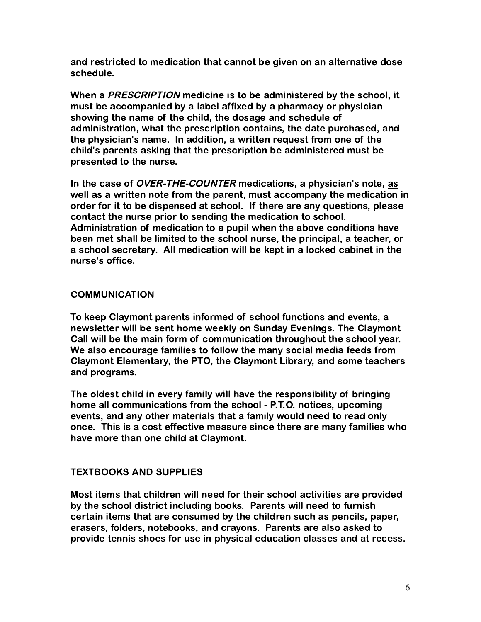and restricted to medication that cannot be given on an alternative dose schedule.

When a PRESCRIPTION medicine is to be administered by the school, it must be accompanied by a label affixed by a pharmacy or physician showing the name of the child, the dosage and schedule of administration, what the prescription contains, the date purchased, and the physician's name. In addition, a written request from one of the child's parents asking that the prescription be administered must be presented to the nurse.

In the case of *OVER-THE-COUNTER* medications, a physician's note, as well as a written note from the parent, must accompany the medication in order for it to be dispensed at school. If there are any questions, please contact the nurse prior to sending the medication to school. Administration of medication to a pupil when the above conditions have been met shall be limited to the school nurse, the principal, a teacher, or a school secretary. All medication will be kept in a locked cabinet in the nurse's office.

# **COMMUNICATION**

To keep Claymont parents informed of school functions and events, a newsletter will be sent home weekly on Sunday Evenings. The Claymont Call will be the main form of communication throughout the school year. We also encourage families to follow the many social media feeds from Claymont Elementary, the PTO, the Claymont Library, and some teachers and programs.

The oldest child in every family will have the responsibility of bringing home all communications from the school - P.T.O. notices, upcoming events, and any other materials that a family would need to read only once. This is a cost effective measure since there are many families who have more than one child at Claymont.

#### TEXTBOOKS AND SUPPLIES

Most items that children will need for their school activities are provided by the school district including books. Parents will need to furnish certain items that are consumed by the children such as pencils, paper, erasers, folders, notebooks, and crayons. Parents are also asked to provide tennis shoes for use in physical education classes and at recess.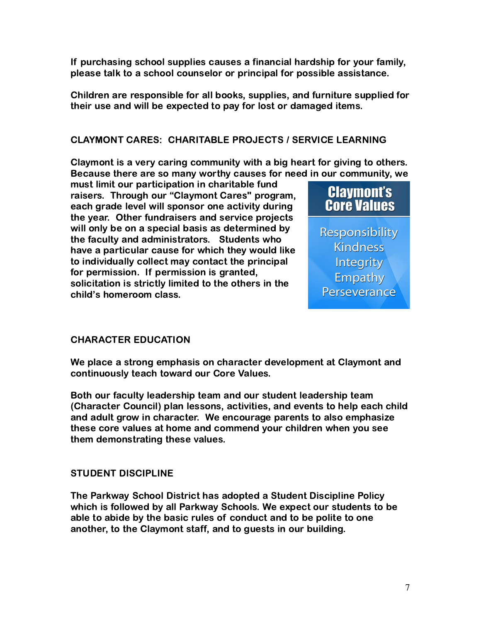If purchasing school supplies causes a financial hardship for your family, please talk to a school counselor or principal for possible assistance.

Children are responsible for all books, supplies, and furniture supplied for their use and will be expected to pay for lost or damaged items.

# CLAYMONT CARES: CHARITABLE PROJECTS / SERVICE LEARNING

Claymont is a very caring community with a big heart for giving to others. Because there are so many worthy causes for need in our community, we

must limit our participation in charitable fund raisers. Through our "Claymont Cares'' program, each grade level will sponsor one activity during the year. Other fundraisers and service projects will only be on a special basis as determined by the faculty and administrators. Students who have a particular cause for which they would like to individually collect may contact the principal for permission. If permission is granted, solicitation is strictly limited to the others in the child's homeroom class.



Responsibility **Kindness** Integrity Empathy Perseverance

#### CHARACTER EDUCATION

We place a strong emphasis on character development at Claymont and continuously teach toward our Core Values.

Both our faculty leadership team and our student leadership team (Character Council) plan lessons, activities, and events to help each child and adult grow in character. We encourage parents to also emphasize these core values at home and commend your children when you see them demonstrating these values.

#### STUDENT DISCIPLINE

The Parkway School District has adopted a Student Discipline Policy which is followed by all Parkway Schools. We expect our students to be able to abide by the basic rules of conduct and to be polite to one another, to the Claymont staff, and to guests in our building.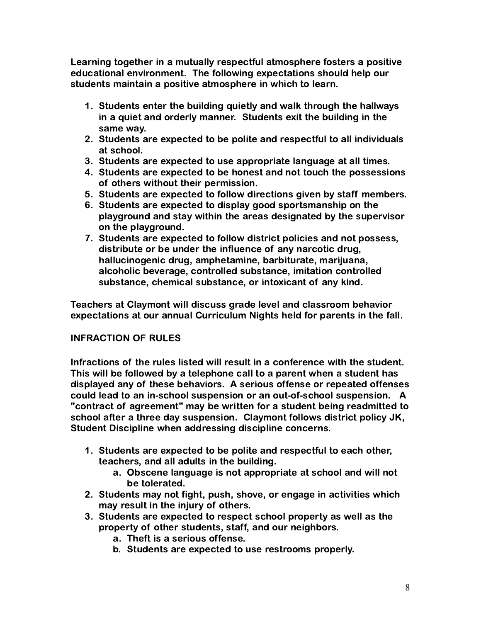Learning together in a mutually respectful atmosphere fosters a positive educational environment. The following expectations should help our students maintain a positive atmosphere in which to learn.

- 1. Students enter the building quietly and walk through the hallways in a quiet and orderly manner. Students exit the building in the same way.
- 2. Students are expected to be polite and respectful to all individuals at school.
- 3. Students are expected to use appropriate language at all times.
- 4. Students are expected to be honest and not touch the possessions of others without their permission.
- 5. Students are expected to follow directions given by staff members.
- 6. Students are expected to display good sportsmanship on the playground and stay within the areas designated by the supervisor on the playground.
- 7. Students are expected to follow district policies and not possess, distribute or be under the influence of any narcotic drug, hallucinogenic drug, amphetamine, barbiturate, marijuana, alcoholic beverage, controlled substance, imitation controlled substance, chemical substance, or intoxicant of any kind.

Teachers at Claymont will discuss grade level and classroom behavior expectations at our annual Curriculum Nights held for parents in the fall.

# INFRACTION OF RULES

Infractions of the rules listed will result in a conference with the student. This will be followed by a telephone call to a parent when a student has displayed any of these behaviors. A serious offense or repeated offenses could lead to an in-school suspension or an out-of-school suspension. A "contract of agreement" may be written for a student being readmitted to school after a three day suspension. Claymont follows district policy JK, Student Discipline when addressing discipline concerns.

- 1. Students are expected to be polite and respectful to each other, teachers, and all adults in the building.
	- a. Obscene language is not appropriate at school and will not be tolerated.
- 2. Students may not fight, push, shove, or engage in activities which may result in the injury of others.
- 3. Students are expected to respect school property as well as the property of other students, staff, and our neighbors.
	- a. Theft is a serious offense.
	- b. Students are expected to use restrooms properly.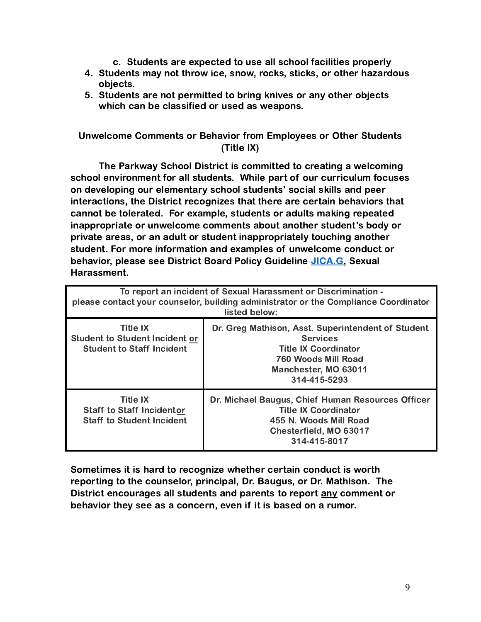- c. Students are expected to use all school facilities properly
- 4. Students may not throw ice, snow, rocks, sticks, or other hazardous objects.
- 5. Students are not permitted to bring knives or any other objects which can be classified or used as weapons.

# Unwelcome Comments or Behavior from Employees or Other Students (Title IX)

The Parkway School District is committed to creating a welcoming school environment for all students. While part of our curriculum focuses on developing our elementary school students' social skills and peer interactions, the District recognizes that there are certain behaviors that cannot be tolerated. For example, students or adults making repeated inappropriate or unwelcome comments about another student's body or private areas, or an adult or student inappropriately touching another student. For more information and examples of unwelcome conduct or behavior, please see District Board Policy Guideline [JICA.G,](https://drive.google.com/file/d/1SBLhSMYRtVOeHp36W8qK50B9IbLcSKdI/view?usp=sharing) Sexual Harassment.

| To report an incident of Sexual Harassment or Discrimination -<br>please contact your counselor, building administrator or the Compliance Coordinator<br>listed below: |                                                                                                                                                                     |  |
|------------------------------------------------------------------------------------------------------------------------------------------------------------------------|---------------------------------------------------------------------------------------------------------------------------------------------------------------------|--|
| <b>Title IX</b><br><b>Student to Student Incident or</b><br><b>Student to Staff Incident</b>                                                                           | Dr. Greg Mathison, Asst. Superintendent of Student<br><b>Services</b><br><b>Title IX Coordinator</b><br>760 Woods Mill Road<br>Manchester, MO 63011<br>314-415-5293 |  |
| <b>Title IX</b><br><b>Staff to Staff Incidentor</b><br><b>Staff to Student Incident</b>                                                                                | Dr. Michael Baugus, Chief Human Resources Officer<br><b>Title IX Coordinator</b><br>455 N. Woods Mill Road<br>Chesterfield, MO 63017<br>314-415-8017                |  |

Sometimes it is hard to recognize whether certain conduct is worth reporting to the counselor, principal, Dr. Baugus, or Dr. Mathison. The District encourages all students and parents to report any comment or behavior they see as a concern, even if it is based on a rumor.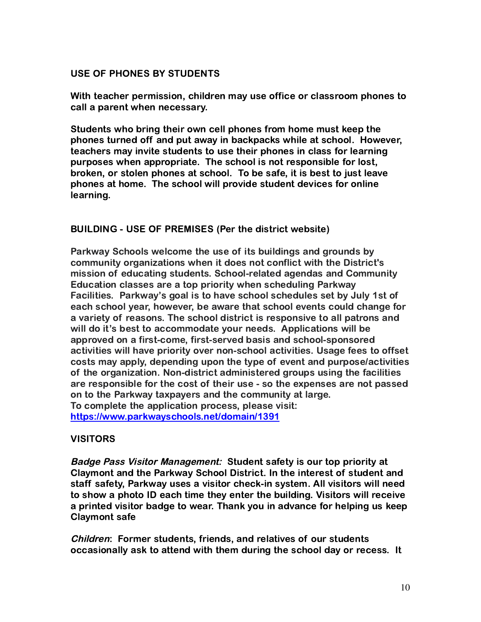# USE OF PHONES BY STUDENTS

With teacher permission, children may use office or classroom phones to call a parent when necessary.

Students who bring their own cell phones from home must keep the phones turned off and put away in backpacks while at school. However, teachers may invite students to use their phones in class for learning purposes when appropriate. The school is not responsible for lost, broken, or stolen phones at school. To be safe, it is best to just leave phones at home. The school will provide student devices for online learning.

# BUILDING - USE OF PREMISES (Per the district website)

Parkway Schools welcome the use of its buildings and grounds by community organizations when it does not conflict with the District's mission of educating students. School-related agendas and Community Education classes are a top priority when scheduling Parkway Facilities. Parkway's goal is to have school schedules set by July 1st of each school year, however, be aware that school events could change for a variety of reasons. The school district is responsive to all patrons and will do it's best to accommodate your needs. Applications will be approved on a first-come, first-served basis and school-sponsored activities will have priority over non-school activities. Usage fees to offset costs may apply, depending upon the type of event and purpose/activities of the organization. Non-district administered groups using the facilities are responsible for the cost of their use - so the expenses are not passed on to the Parkway taxpayers and the community at large. To complete the application process, please visit: <https://www.parkwayschools.net/domain/1391>

#### VISITORS

Badge Pass Visitor Management: Student safety is our top priority at Claymont and the Parkway School District. In the interest of student and staff safety, Parkway uses a visitor check-in system. All visitors will need to show a photo ID each time they enter the building. Visitors will receive a printed visitor badge to wear. Thank you in advance for helping us keep Claymont safe

Children: Former students, friends, and relatives of our students occasionally ask to attend with them during the school day or recess. It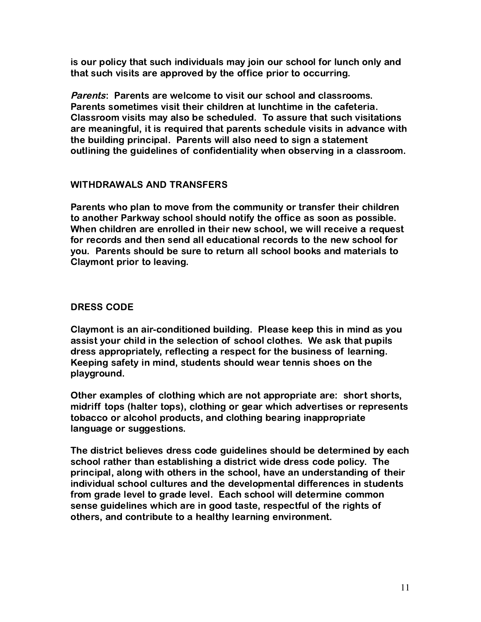is our policy that such individuals may join our school for lunch only and that such visits are approved by the office prior to occurring.

Parents: Parents are welcome to visit our school and classrooms. Parents sometimes visit their children at lunchtime in the cafeteria. Classroom visits may also be scheduled. To assure that such visitations are meaningful, it is required that parents schedule visits in advance with the building principal. Parents will also need to sign a statement outlining the guidelines of confidentiality when observing in a classroom.

# WITHDRAWALS AND TRANSFERS

Parents who plan to move from the community or transfer their children to another Parkway school should notify the office as soon as possible. When children are enrolled in their new school, we will receive a request for records and then send all educational records to the new school for you. Parents should be sure to return all school books and materials to Claymont prior to leaving.

# DRESS CODE

Claymont is an air-conditioned building. Please keep this in mind as you assist your child in the selection of school clothes. We ask that pupils dress appropriately, reflecting a respect for the business of learning. Keeping safety in mind, students should wear tennis shoes on the playground.

Other examples of clothing which are not appropriate are: short shorts, midriff tops (halter tops), clothing or gear which advertises or represents tobacco or alcohol products, and clothing bearing inappropriate language or suggestions.

The district believes dress code guidelines should be determined by each school rather than establishing a district wide dress code policy. The principal, along with others in the school, have an understanding of their individual school cultures and the developmental differences in students from grade level to grade level. Each school will determine common sense guidelines which are in good taste, respectful of the rights of others, and contribute to a healthy learning environment.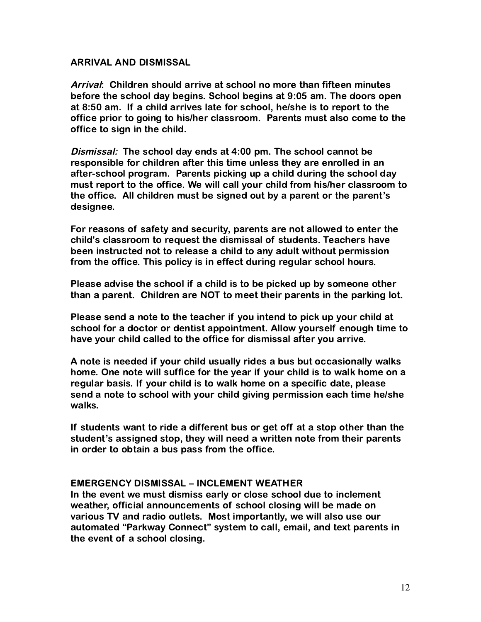#### ARRIVAL AND DISMISSAL

Arrival: Children should arrive at school no more than fifteen minutes before the school day begins. School begins at 9:05 am. The doors open at 8:50 am. If a child arrives late for school, he/she is to report to the office prior to going to his/her classroom. Parents must also come to the office to sign in the child.

Dismissal: The school day ends at 4:00 pm. The school cannot be responsible for children after this time unless they are enrolled in an after-school program. Parents picking up a child during the school day must report to the office. We will call your child from his/her classroom to the office. All children must be signed out by a parent or the parent's designee.

For reasons of safety and security, parents are not allowed to enter the child's classroom to request the dismissal of students. Teachers have been instructed not to release a child to any adult without permission from the office. This policy is in effect during regular school hours.

Please advise the school if a child is to be picked up by someone other than a parent. Children are NOT to meet their parents in the parking lot.

Please send a note to the teacher if you intend to pick up your child at school for a doctor or dentist appointment. Allow yourself enough time to have your child called to the office for dismissal after you arrive.

A note is needed if your child usually rides a bus but occasionally walks home. One note will suffice for the year if your child is to walk home on a regular basis. If your child is to walk home on a specific date, please send a note to school with your child giving permission each time he/she walks.

If students want to ride a different bus or get off at a stop other than the student's assigned stop, they will need a written note from their parents in order to obtain a bus pass from the office.

#### EMERGENCY DISMISSAL – INCLEMENT WEATHER

In the event we must dismiss early or close school due to inclement weather, official announcements of school closing will be made on various TV and radio outlets. Most importantly, we will also use our automated "Parkway Connect" system to call, email, and text parents in the event of a school closing.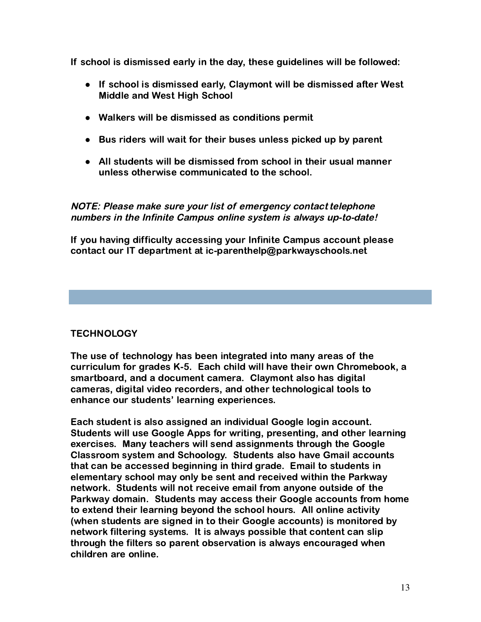If school is dismissed early in the day, these guidelines will be followed:

- If school is dismissed early, Claymont will be dismissed after West Middle and West High School
- Walkers will be dismissed as conditions permit
- Bus riders will wait for their buses unless picked up by parent
- All students will be dismissed from school in their usual manner unless otherwise communicated to the school.

NOTE: Please make sure your list of emergency contact telephone numbers in the Infinite Campus online system is always up-to-date!

If you having difficulty accessing your Infinite Campus account please contact our IT department at ic-parenthelp@parkwayschools.net

# **TECHNOLOGY**

The use of technology has been integrated into many areas of the curriculum for grades K-5. Each child will have their own Chromebook, a smartboard, and a document camera. Claymont also has digital cameras, digital video recorders, and other technological tools to enhance our students' learning experiences.

Each student is also assigned an individual Google login account. Students will use Google Apps for writing, presenting, and other learning exercises. Many teachers will send assignments through the Google Classroom system and Schoology. Students also have Gmail accounts that can be accessed beginning in third grade. Email to students in elementary school may only be sent and received within the Parkway network. Students will not receive email from anyone outside of the Parkway domain. Students may access their Google accounts from home to extend their learning beyond the school hours. All online activity (when students are signed in to their Google accounts) is monitored by network filtering systems. It is always possible that content can slip through the filters so parent observation is always encouraged when children are online.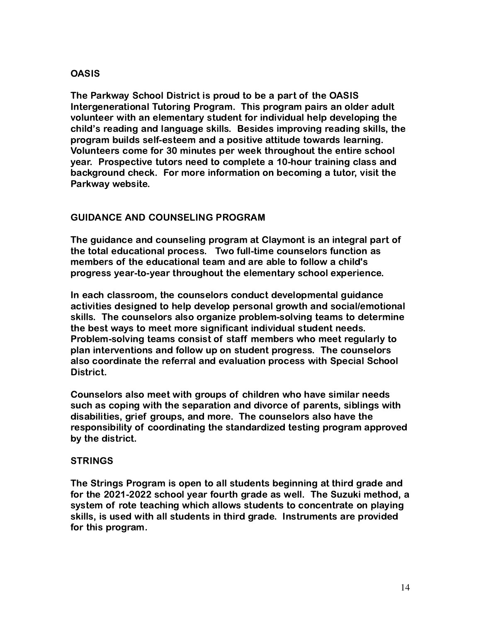# **OASIS**

The Parkway School District is proud to be a part of the OASIS Intergenerational Tutoring Program. This program pairs an older adult volunteer with an elementary student for individual help developing the child's reading and language skills. Besides improving reading skills, the program builds self-esteem and a positive attitude towards learning. Volunteers come for 30 minutes per week throughout the entire school year. Prospective tutors need to complete a 10-hour training class and background check. For more information on becoming a tutor, visit the Parkway website.

# GUIDANCE AND COUNSELING PROGRAM

The guidance and counseling program at Claymont is an integral part of the total educational process. Two full-time counselors function as members of the educational team and are able to follow a child's progress year-to-year throughout the elementary school experience.

In each classroom, the counselors conduct developmental guidance activities designed to help develop personal growth and social/emotional skills. The counselors also organize problem-solving teams to determine the best ways to meet more significant individual student needs. Problem-solving teams consist of staff members who meet regularly to plan interventions and follow up on student progress. The counselors also coordinate the referral and evaluation process with Special School District.

Counselors also meet with groups of children who have similar needs such as coping with the separation and divorce of parents, siblings with disabilities, grief groups, and more. The counselors also have the responsibility of coordinating the standardized testing program approved by the district.

# STRINGS

The Strings Program is open to all students beginning at third grade and for the 2021-2022 school year fourth grade as well. The Suzuki method, a system of rote teaching which allows students to concentrate on playing skills, is used with all students in third grade. Instruments are provided for this program.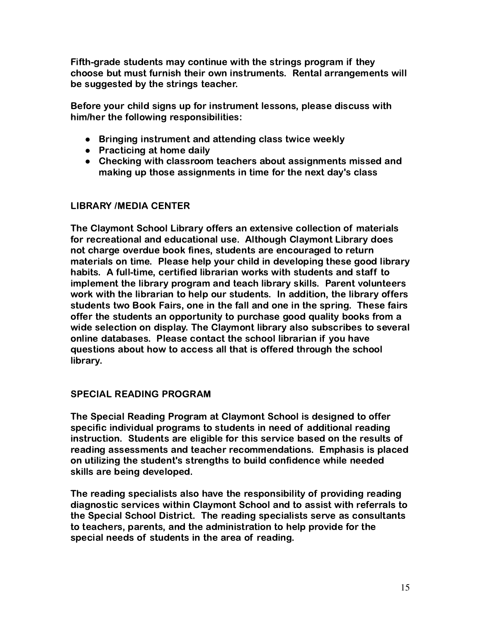Fifth-grade students may continue with the strings program if they choose but must furnish their own instruments. Rental arrangements will be suggested by the strings teacher.

Before your child signs up for instrument lessons, please discuss with him/her the following responsibilities:

- Bringing instrument and attending class twice weekly
- Practicing at home daily
- Checking with classroom teachers about assignments missed and making up those assignments in time for the next day's class

# LIBRARY /MEDIA CENTER

The Claymont School Library offers an extensive collection of materials for recreational and educational use. Although Claymont Library does not charge overdue book fines, students are encouraged to return materials on time. Please help your child in developing these good library habits. A full-time, certified librarian works with students and staff to implement the library program and teach library skills. Parent volunteers work with the librarian to help our students. In addition, the library offers students two Book Fairs, one in the fall and one in the spring. These fairs offer the students an opportunity to purchase good quality books from a wide selection on display. The Claymont library also subscribes to several online databases. Please contact the school librarian if you have questions about how to access all that is offered through the school library.

# SPECIAL READING PROGRAM

The Special Reading Program at Claymont School is designed to offer specific individual programs to students in need of additional reading instruction. Students are eligible for this service based on the results of reading assessments and teacher recommendations. Emphasis is placed on utilizing the student's strengths to build confidence while needed skills are being developed.

The reading specialists also have the responsibility of providing reading diagnostic services within Claymont School and to assist with referrals to the Special School District. The reading specialists serve as consultants to teachers, parents, and the administration to help provide for the special needs of students in the area of reading.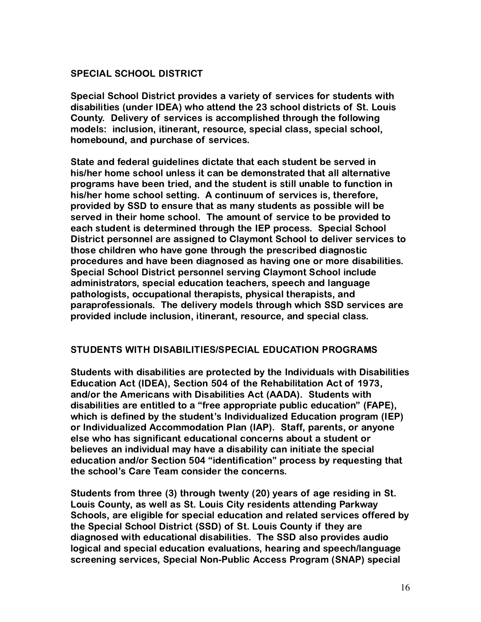# SPECIAL SCHOOL DISTRICT

Special School District provides a variety of services for students with disabilities (under IDEA) who attend the 23 school districts of St. Louis County. Delivery of services is accomplished through the following models: inclusion, itinerant, resource, special class, special school, homebound, and purchase of services.

State and federal guidelines dictate that each student be served in his/her home school unless it can be demonstrated that all alternative programs have been tried, and the student is still unable to function in his/her home school setting. A continuum of services is, therefore, provided by SSD to ensure that as many students as possible will be served in their home school. The amount of service to be provided to each student is determined through the IEP process. Special School District personnel are assigned to Claymont School to deliver services to those children who have gone through the prescribed diagnostic procedures and have been diagnosed as having one or more disabilities. Special School District personnel serving Claymont School include administrators, special education teachers, speech and language pathologists, occupational therapists, physical therapists, and paraprofessionals. The delivery models through which SSD services are provided include inclusion, itinerant, resource, and special class.

#### STUDENTS WITH DISABILITIES/SPECIAL EDUCATION PROGRAMS

Students with disabilities are protected by the Individuals with Disabilities Education Act (IDEA), Section 504 of the Rehabilitation Act of 1973, and/or the Americans with Disabilities Act (AADA). Students with disabilities are entitled to a "free appropriate public education" (FAPE), which is defined by the student's Individualized Education program (IEP) or Individualized Accommodation Plan (IAP). Staff, parents, or anyone else who has significant educational concerns about a student or believes an individual may have a disability can initiate the special education and/or Section 504 "identification" process by requesting that the school's Care Team consider the concerns.

Students from three (3) through twenty (20) years of age residing in St. Louis County, as well as St. Louis City residents attending Parkway Schools, are eligible for special education and related services offered by the Special School District (SSD) of St. Louis County if they are diagnosed with educational disabilities. The SSD also provides audio logical and special education evaluations, hearing and speech/language screening services, Special Non-Public Access Program (SNAP) special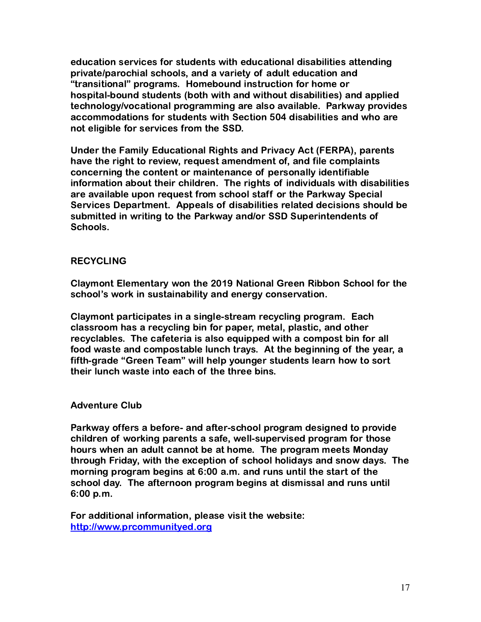education services for students with educational disabilities attending private/parochial schools, and a variety of adult education and "transitional" programs. Homebound instruction for home or hospital-bound students (both with and without disabilities) and applied technology/vocational programming are also available. Parkway provides accommodations for students with Section 504 disabilities and who are not eligible for services from the SSD.

Under the Family Educational Rights and Privacy Act (FERPA), parents have the right to review, request amendment of, and file complaints concerning the content or maintenance of personally identifiable information about their children. The rights of individuals with disabilities are available upon request from school staff or the Parkway Special Services Department. Appeals of disabilities related decisions should be submitted in writing to the Parkway and/or SSD Superintendents of Schools.

#### RECYCLING

Claymont Elementary won the 2019 National Green Ribbon School for the school's work in sustainability and energy conservation.

Claymont participates in a single-stream recycling program. Each classroom has a recycling bin for paper, metal, plastic, and other recyclables. The cafeteria is also equipped with a compost bin for all food waste and compostable lunch trays. At the beginning of the year, a fifth-grade "Green Team" will help younger students learn how to sort their lunch waste into each of the three bins.

#### Adventure Club

Parkway offers a before- and after-school program designed to provide children of working parents a safe, well-supervised program for those hours when an adult cannot be at home. The program meets Monday through Friday, with the exception of school holidays and snow days. The morning program begins at 6:00 a.m. and runs until the start of the school day. The afternoon program begins at dismissal and runs until 6:00 p.m.

For additional information, please visit the website: <http://www.prcommunityed.org>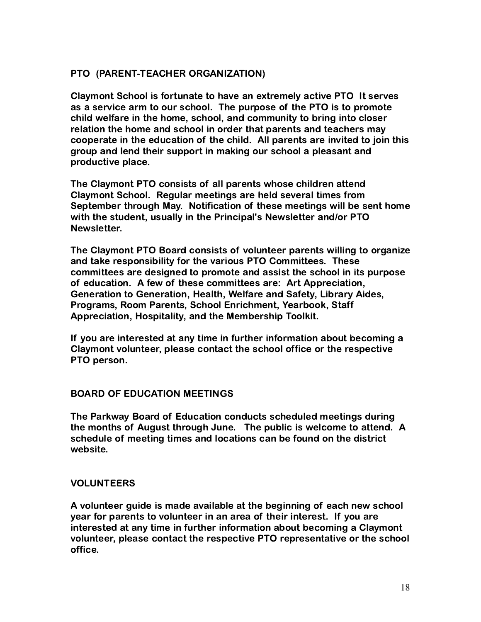# PTO (PARENT-TEACHER ORGANIZATION)

Claymont School is fortunate to have an extremely active PTO It serves as a service arm to our school. The purpose of the PTO is to promote child welfare in the home, school, and community to bring into closer relation the home and school in order that parents and teachers may cooperate in the education of the child. All parents are invited to join this group and lend their support in making our school a pleasant and productive place.

The Claymont PTO consists of all parents whose children attend Claymont School. Regular meetings are held several times from September through May. Notification of these meetings will be sent home with the student, usually in the Principal's Newsletter and/or PTO Newsletter.

The Claymont PTO Board consists of volunteer parents willing to organize and take responsibility for the various PTO Committees. These committees are designed to promote and assist the school in its purpose of education. A few of these committees are: Art Appreciation, Generation to Generation, Health, Welfare and Safety, Library Aides, Programs, Room Parents, School Enrichment, Yearbook, Staff Appreciation, Hospitality, and the Membership Toolkit.

If you are interested at any time in further information about becoming a Claymont volunteer, please contact the school office or the respective PTO person.

#### BOARD OF EDUCATION MEETINGS

The Parkway Board of Education conducts scheduled meetings during the months of August through June. The public is welcome to attend. A schedule of meeting times and locations can be found on the district website.

#### VOLUNTEERS

A volunteer guide is made available at the beginning of each new school year for parents to volunteer in an area of their interest. If you are interested at any time in further information about becoming a Claymont volunteer, please contact the respective PTO representative or the school office.